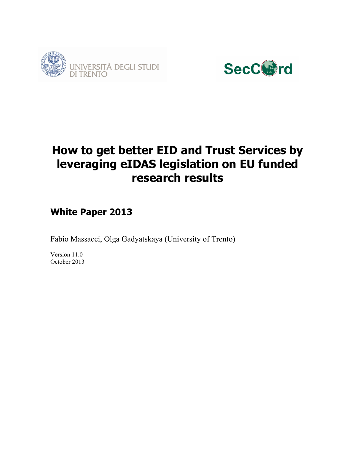



# **How to get better EID and Trust Services by leveraging eIDAS legislation on EU funded research results**

# **White Paper 2013**

Fabio Massacci, Olga Gadyatskaya (University of Trento)

Version 11.0 October 2013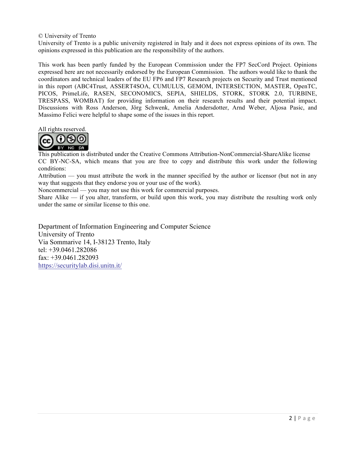#### © University of Trento

University of Trento is a public university registered in Italy and it does not express opinions of its own. The opinions expressed in this publication are the responsibility of the authors.

This work has been partly funded by the European Commission under the FP7 SecCord Project. Opinions expressed here are not necessarily endorsed by the European Commission. The authors would like to thank the coordinators and technical leaders of the EU FP6 and FP7 Research projects on Security and Trust mentioned in this report (ABC4Trust, ASSERT4SOA, CUMULUS, GEMOM, INTERSECTION, MASTER, OpenTC, PICOS, PrimeLife, RASEN, SECONOMICS, SEPIA, SHIELDS, STORK, STORK 2.0, TURBINE, TRESPASS, WOMBAT) for providing information on their research results and their potential impact. Discussions with Ross Anderson, Jörg Schwenk, Amelia Andersdotter, Arnd Weber, Aljosa Pasic, and Massimo Felici were helpful to shape some of the issues in this report.

All rights reserved.



This publication is distributed under the Creative Commons Attribution-NonCommercial-ShareAlike license CC BY-NC-SA, which means that you are free to copy and distribute this work under the following conditions:

Attribution — you must attribute the work in the manner specified by the author or licensor (but not in any way that suggests that they endorse you or your use of the work).

Noncommercial — you may not use this work for commercial purposes.

Share Alike  $-$  if you alter, transform, or build upon this work, you may distribute the resulting work only under the same or similar license to this one.

Department of Information Engineering and Computer Science University of Trento Via Sommarive 14, I-38123 Trento, Italy tel: +39.0461.282086 fax: +39.0461.282093 https://securitylab.disi.unitn.it/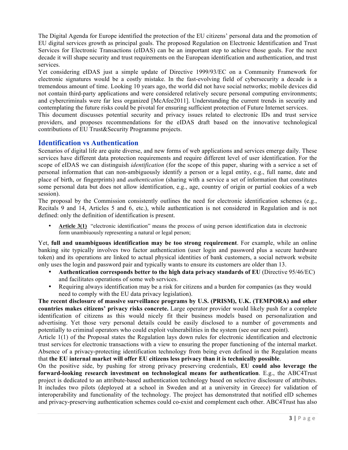The Digital Agenda for Europe identified the protection of the EU citizens' personal data and the promotion of EU digital services growth as principal goals. The proposed Regulation on Electronic Identification and Trust Services for Electronic Transactions (eIDAS) can be an important step to achieve those goals. For the next decade it will shape security and trust requirements on the European identification and authentication, and trust services.

Yet considering eIDAS just a simple update of Directive 1999/93/EC on a Community Framework for electronic signatures would be a costly mistake. In the fast-evolving field of cybersecurity a decade is a tremendous amount of time. Looking 10 years ago, the world did not have social networks; mobile devices did not contain third-party applications and were considered relatively secure personal computing environments; and cybercriminals were far less organized [McAfee2011]. Understanding the current trends in security and contemplating the future risks could be pivotal for ensuring sufficient protection of Future Internet services.

This document discusses potential security and privacy issues related to electronic IDs and trust service providers, and proposes recommendations for the eIDAS draft based on the innovative technological contributions of EU Trust&Security Programme projects.

#### **Identification vs Authentication**

Scenarios of digital life are quite diverse, and new forms of web applications and services emerge daily. These services have different data protection requirements and require different level of user identification. For the scope of eIDAS we can distinguish *identification* (for the scope of this paper, sharing with a service a set of personal information that can non-ambiguously identify a person or a legal entity, e.g., full name, date and place of birth, or fingerprints) and *authentication* (sharing with a service a set of information that constitutes some personal data but does not allow identification, e.g., age, country of origin or partial cookies of a web session).

The proposal by the Commission consistently outlines the need for electronic identification schemes (e.g., Recitals 9 and 14, Articles 5 and 6, etc.), while authentication is not considered in Regulation and is not defined: only the definition of identification is present.

• **Article 3(1)** "electronic identification" means the process of using person identification data in electronic form unambiuously representing a natural or legal person;

Yet, **full and unambiguous identification may be too strong requirement**. For example, while an online banking site typically involves two factor authentication (user login and password plus a secure hardware token) and its operations are linked to actual physical identities of bank customers, a social network website only uses the login and password pair and typically wants to ensure its customers are older than 13.

- **Authentication corresponds better to the high data privacy standards of EU** (Directive 95/46/EC) and facilitates operations of some web services.
- Requiring always identification may be a risk for citizens and a burden for companies (as they would need to comply with the EU data privacy legislation).

**The recent disclosure of massive surveillance programs by U.S. (PRISM), U.K. (TEMPORA) and other countries makes citizens' privacy risks concrete.** Large operator provider would likely push for a complete identification of citizens as this would nicely fit their business models based on personalization and advertising. Yet those very personal details could be easily disclosed to a number of governments and potentially to criminal operators who could exploit vulnerabilities in the system (see our next point).

Article 1(1) of the Proposal states the Regulation lays down rules for electronic identification and electronic trust services for electronic transactions with a view to ensuring the proper functioning of the internal market. Absence of a privacy-protecting identification technology from being even defined in the Regulation means that **the EU internal market will offer EU citizens less privacy than it is technically possible**.

On the positive side, by pushing for strong privacy preserving credentials, **EU could also leverage the forward-looking research investment on technological means for authentication**. E.g., the ABC4Trust project is dedicated to an attribute-based authentication technology based on selective disclosure of attributes. It includes two pilots (deployed at a school in Sweden and at a university in Greece) for validation of interoperability and functionality of the technology. The project has demonstrated that notified eID schemes and privacy-preserving authentication schemes could co-exist and complement each other. ABC4Trust has also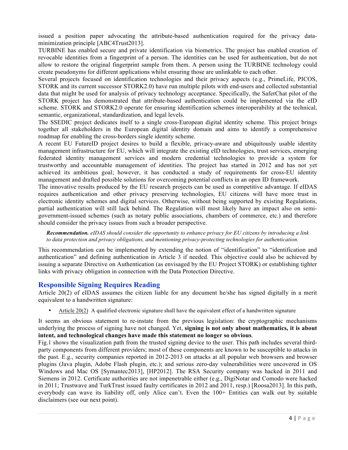issued a position paper advocating the attribute-based authentication required for the privacy dataminimization principle [ABC4Trust2013].

TURBINE has enabled secure and private identification via biometrics. The project has enabled creation of revocable identities from a fingerprint of a person. The identities can be used for authentication, but do not allow to restore the original fingerprint sample from them. A person using the TURBINE technology could create pseudonyms for different applications whilst ensuring those are unlinkable to each other.

Several projects focused on identification technologies and their privacy aspects (e.g., PrimeLife, PICOS, STORK and its current successor STORK2.0) have run multiple pilots with end-users and collected substantial data that might be used for analysis of privacy technology acceptance. Specifically, the SaferChat pilot of the STORK project has demonstrated that attribute-based authentication could be implemented via the eID scheme. STORK and STORK2.0 operate for ensuring identification schemes interoperability at the technical, semantic, organizational, standardization, and legal levels.

The SSEDIC project dedicates itself to a single cross-European digital identity scheme. This project brings together all stakeholders in the European digital identity domain and aims to identify a comprehensive roadmap for enabling the cross-borders single identity scheme.

A recent EU FutureID project desires to build a flexible, privacy-aware and ubiquitously usable identity management infrastructure for EU, which will integrate the existing eID technologies, trust services, emerging federated identity management services and modern credential technologies to provide a system for trustworthy and accountable management of identities. The project has started in 2012 and has not yet achieved its ambitious goal; however, it has conducted a study of requirements for cross-EU identity management and drafted possible solutions for overcoming potential conflicts in an open ID framework.

The innovative results produced by the EU research projects can be used as competitive advantage. If eIDAS requires authentication and other privacy preserving technologies, EU citizens will have more trust in electronic identity schemes and digital services. Otherwise, without being supported by existing Regulations, partial authentication will still lack behind. The Regulation will most likely have an impact also on semigovernment-issued schemes (such as notary public associations, chambers of commerce, etc.) and therefore should consider the privacy issues from such a broader perspective.

*Recommendation. eIDAS should consider the opportunity to enhance privacy for EU citizens by introducing a link to data protection and privacy obligations, and mentioning privacy-protecting technologies for authentication.*

This recommendation can be implemented by extending the notion of "identification" to "identification and authentication" and defining authentication in Article 3 if needed. This objective could also be achieved by issuing a separate Directive on Authentication (as envisaged by the EU Project STORK) or establishing tighter links with privacy obligation in connection with the Data Protection Directive.

### **Responsible Signing Requires Reading**

Article 20(2) of eIDAS assumes the citizen liable for any document he/she has signed digitally in a merit equivalent to a handwritten signature:

• Article 20(2) A qualified electronic signature shall have the equivalent effect of a handwritten signature

It seems an obvious statement to re-instate from the previous legislation: the cryptographic mechanisms underlying the process of signing have not changed. Yet, **signing is not only about mathematics, it is about intent, and technological changes have made this statement no longer so obvious**.

Fig.1 shows the visualization path from the trusted signing device to the user. This path includes several thirdparty components from different providers; most of these components are known to be susceptible to attacks in the past. E.g., security companies reported in 2012-2013 on attacks at all popular web browsers and browser plugins (Java plugin, Adobe Flash plugin, etc.); and serious zero-day vulnerabilities were uncovered in OS Windows and Mac OS [Symantec2013], [HP2012]. The RSA Security company was hacked in 2011 and Siemens in 2012. Certificate authorities are not impenetrable either (e.g., DigiNotar and Comodo were hacked in 2011; Trustwave and TurkTrust issued faulty certificates in 2012 and 2011, resp.) [Roosa2013]. In this path, everybody can wave its liability off, only Alice can't. Even the 100+ Entities can walk out by suitable disclaimers (see our next point).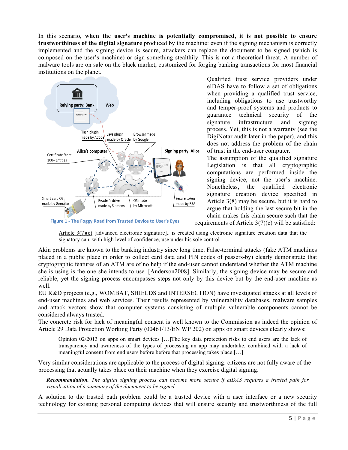In this scenario, **when the user's machine is potentially compromised, it is not possible to ensure trustworthiness of the digital signature** produced by the machine: even if the signing mechanism is correctly implemented and the signing device is secure, attackers can replace the document to be signed (which is composed on the user's machine) or sign something stealthily. This is not a theoretical threat. A number of malware tools are on sale on the black market, customized for forging banking transactions for most financial institutions on the planet.



**Figure 1 - The Foggy Road from Trusted Device to User's Eyes** 

Qualified trust service providers under eIDAS have to follow a set of obligations when providing a qualified trust service, including obligations to use trustworthy and temper-proof systems and products to guarantee technical security of the signature infrastructure and signing process. Yet, this is not a warranty (see the DigiNotar audit later in the paper), and this does not address the problem of the chain of trust in the end-user computer.

The assumption of the qualified signature Legislation is that all cryptographic computations are performed inside the signing device, not the user's machine. Nonetheless, the qualified electronic signature creation device specified in Article 3(8) may be secure, but it is hard to argue that holding the last secure bit in the chain makes this chain secure such that the

requirements of Article 3(7)(c) will be satisfied:

Article 3(7)(c) [advanced electronic signature].. is created using electronic signature creation data that the signatory can, with high level of confidence, use under his sole control

Akin problems are known to the banking industry since long time. False-terminal attacks (fake ATM machines placed in a public place in order to collect card data and PIN codes of passers-by) clearly demonstrate that cryptographic features of an ATM are of no help if the end-user cannot understand whether the ATM machine she is using is the one she intends to use. [Anderson2008]. Similarly, the signing device may be secure and reliable, yet the signing process encompasses steps not only by this device but by the end-user machine as well.

EU R&D projects (e.g., WOMBAT, SHIELDS and INTERSECTION) have investigated attacks at all levels of end-user machines and web services. Their results represented by vulnerability databases, malware samples and attack vectors show that computer systems consisting of multiple vulnerable components cannot be considered always trusted.

The concrete risk for lack of meaningful consent is well known to the Commission as indeed the opinion of Article 29 Data Protection Working Party (00461/13/EN WP 202) on apps on smart devices clearly shows:

Opinion 02/2013 on apps on smart devices […]The key data protection risks to end users are the lack of transparency and awareness of the types of processing an app may undertake, combined with a lack of meaningful consent from end users before before that processing takes place.[…]

Very similar considerations are applicable to the process of digital signing: citizens are not fully aware of the processing that actually takes place on their machine when they exercise digital signing.

*Recommendation. The digital signing process can become more secure if eIDAS requires a trusted path for visualization of a summary of the document to be signed.*

A solution to the trusted path problem could be a trusted device with a user interface or a new security technology for existing personal computing devices that will ensure security and trustworthiness of the full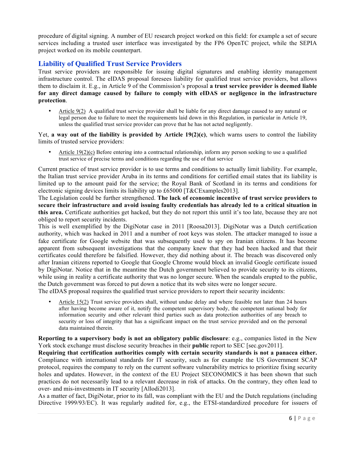procedure of digital signing. A number of EU research project worked on this field: for example a set of secure services including a trusted user interface was investigated by the FP6 OpenTC project, while the SEPIA project worked on its mobile counterpart.

## **Liability of Qualified Trust Service Providers**

Trust service providers are responsible for issuing digital signatures and enabling identity management infrastructure control. The eIDAS proposal foresees liability for qualified trust service providers, but allows them to disclaim it. E.g., in Article 9 of the Commission's proposal **a trust service provider is deemed liable for any direct damage caused by failure to comply with eIDAS or negligence in the infrastructure protection**.

• Article 9(2) A qualified trust service provider shall be liable for any direct damage caused to any natural or legal person due to failure to meet the requirements laid down in this Regulation, in particular in Article 19, unless the qualified trust service provider can prove that he has not acted negligently.

Yet, **a way out of the liability is provided by Article 19(2)(c)**, which warns users to control the liability limits of trusted service providers:

Article  $19(2)(c)$  Before entering into a contractual relationship, inform any person seeking to use a qualified trust service of precise terms and conditions regarding the use of that service

Current practice of trust service provider is to use terms and conditions to actually limit liability. For example, the Italian trust service provider Aruba in its terms and conditions for certified email states that its liability is limited up to the amount paid for the service; the Royal Bank of Scotland in its terms and conditions for electronic signing devices limits its liability up to £65000 [T&CExamples2013].

The Legislation could be further strengthened. **The lack of economic incentive of trust service providers to secure their infrastructure and avoid issuing faulty credentials has already led to a critical situation in this area.** Certificate authorities get hacked, but they do not report this until it's too late, because they are not obliged to report security incidents.

This is well exemplified by the DigiNotar case in 2011 [Roosa2013]. DigiNotar was a Dutch certification authority, which was hacked in 2011 and a number of root keys was stolen. The attacker managed to issue a fake certificate for Google website that was subsequently used to spy on Iranian citizens. It has become apparent from subsequent investigations that the company knew that they had been hacked and that their certificates could therefore be falsified. However, they did nothing about it. The breach was discovered only after Iranian citizens reported to Google that Google Chrome would block an invalid Google certificate issued by DigiNotar. Notice that in the meantime the Dutch government believed to provide security to its citizens, while using in reality a certificate authority that was no longer secure. When the scandals erupted to the public, the Dutch government was forced to put down a notice that its web sites were no longer secure.

The eIDAS proposal requires the qualified trust service providers to report their security incidents:

• Article 15(2) Trust service providers shall, without undue delay and where feasible not later than 24 hours after having become aware of it, notify the competent supervisory body, the competent national body for information security and other relevant third parties such as data protection authorities of any breach to security or loss of integrity that has a significant impact on the trust service provided and on the personal data maintained therein.

**Reporting to a supervisory body is not an obligatory public disclosure**: e.g., companies listed in the New York stock exchange must disclose security breaches in their **public** report to SEC [sec.gov2011].

**Requiring that certification authorities comply with certain security standards is not a panacea either.** Compliance with international standards for IT security, such as for example the US Government SCAP protocol, requires the company to rely on the current software vulnerability metrics to prioritize fixing security holes and updates. However, in the context of the EU Project SECONOMICS it has been shown that such practices do not necessarily lead to a relevant decrease in risk of attacks. On the contrary, they often lead to over- and mis-investments in IT security [Allodi2013].

As a matter of fact, DigiNotar, prior to its fall, was compliant with the EU and the Dutch regulations (including Directive 1999/93/EC). It was regularly audited for, e.g., the ETSI-standardized procedure for issuers of